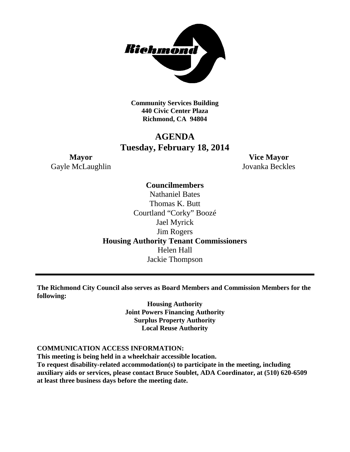

**Community Services Building 440 Civic Center Plaza Richmond, CA 94804**

# **AGENDA Tuesday, February 18, 2014**

Gayle McLaughlin Jovanka Beckles

**Mayor Vice Mayor**

### **Councilmembers**

Nathaniel Bates Thomas K. Butt Courtland "Corky" Boozé Jael Myrick Jim Rogers **Housing Authority Tenant Commissioners** Helen Hall Jackie Thompson

**The Richmond City Council also serves as Board Members and Commission Members for the following:**

> **Housing Authority Joint Powers Financing Authority Surplus Property Authority Local Reuse Authority**

### **COMMUNICATION ACCESS INFORMATION:**

**This meeting is being held in a wheelchair accessible location. To request disability-related accommodation(s) to participate in the meeting, including auxiliary aids or services, please contact Bruce Soublet, ADA Coordinator, at (510) 620-6509 at least three business days before the meeting date.**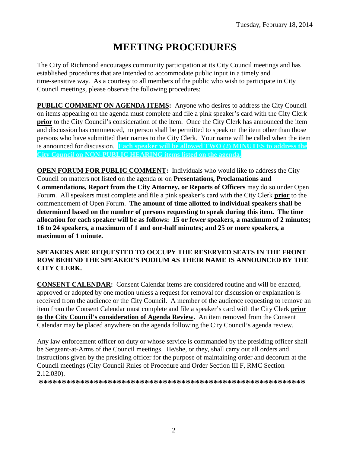# **MEETING PROCEDURES**

The City of Richmond encourages community participation at its City Council meetings and has established procedures that are intended to accommodate public input in a timely and time-sensitive way. As a courtesy to all members of the public who wish to participate in City Council meetings, please observe the following procedures:

**PUBLIC COMMENT ON AGENDA ITEMS:** Anyone who desires to address the City Council on items appearing on the agenda must complete and file a pink speaker's card with the City Clerk **prior** to the City Council's consideration of the item. Once the City Clerk has announced the item and discussion has commenced, no person shall be permitted to speak on the item other than those persons who have submitted their names to the City Clerk. Your name will be called when the item is announced for discussion. **Each speaker will be allowed TWO (2) MINUTES to address the City Council on NON-PUBLIC HEARING items listed on the agenda.**

**OPEN FORUM FOR PUBLIC COMMENT:** Individuals who would like to address the City Council on matters not listed on the agenda or on **Presentations, Proclamations and Commendations, Report from the City Attorney, or Reports of Officers** may do so under Open Forum. All speakers must complete and file a pink speaker's card with the City Clerk **prior** to the commencement of Open Forum. **The amount of time allotted to individual speakers shall be determined based on the number of persons requesting to speak during this item. The time allocation for each speaker will be as follows: 15 or fewer speakers, a maximum of 2 minutes; 16 to 24 speakers, a maximum of 1 and one-half minutes; and 25 or more speakers, a maximum of 1 minute.**

### **SPEAKERS ARE REQUESTED TO OCCUPY THE RESERVED SEATS IN THE FRONT ROW BEHIND THE SPEAKER'S PODIUM AS THEIR NAME IS ANNOUNCED BY THE CITY CLERK.**

**CONSENT CALENDAR:** Consent Calendar items are considered routine and will be enacted, approved or adopted by one motion unless a request for removal for discussion or explanation is received from the audience or the City Council. A member of the audience requesting to remove an item from the Consent Calendar must complete and file a speaker's card with the City Clerk **prior to the City Council's consideration of Agenda Review.** An item removed from the Consent Calendar may be placed anywhere on the agenda following the City Council's agenda review.

Any law enforcement officer on duty or whose service is commanded by the presiding officer shall be Sergeant-at-Arms of the Council meetings. He/she, or they, shall carry out all orders and instructions given by the presiding officer for the purpose of maintaining order and decorum at the Council meetings (City Council Rules of Procedure and Order Section III F, RMC Section 2.12.030).

**\*\*\*\*\*\*\*\*\*\*\*\*\*\*\*\*\*\*\*\*\*\*\*\*\*\*\*\*\*\*\*\*\*\*\*\*\*\*\*\*\*\*\*\*\*\*\*\*\*\*\*\*\*\*\*\*\*\***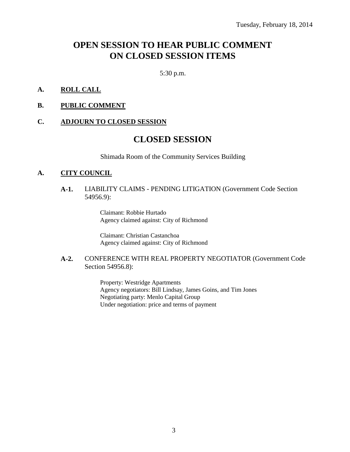# **OPEN SESSION TO HEAR PUBLIC COMMENT ON CLOSED SESSION ITEMS**

5:30 p.m.

### **A. ROLL CALL**

**B. PUBLIC COMMENT**

### **C. ADJOURN TO CLOSED SESSION**

## **CLOSED SESSION**

Shimada Room of the Community Services Building

### **A. CITY COUNCIL**

#### **A-1.** LIABILITY CLAIMS - PENDING LITIGATION (Government Code Section 54956.9):

Claimant: Robbie Hurtado Agency claimed against: City of Richmond

Claimant: Christian Castanchoa Agency claimed against: City of Richmond

#### **A-2.** CONFERENCE WITH REAL PROPERTY NEGOTIATOR (Government Code Section 54956.8):

Property: Westridge Apartments Agency negotiators: Bill Lindsay, James Goins, and Tim Jones Negotiating party: Menlo Capital Group Under negotiation: price and terms of payment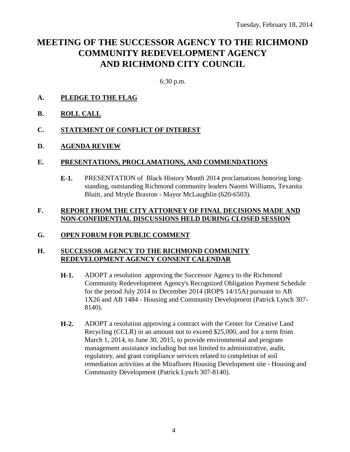# **MEETING OF THE SUCCESSOR AGENCY TO THE RICHMOND COMMUNITY REDEVELOPMENT AGENCY AND RICHMOND CITY COUNCIL**

6:30 p.m.

- **A. PLEDGE TO THE FLAG**
- **B. ROLL CALL**
- **C. STATEMENT OF CONFLICT OF INTEREST**
- **D. AGENDA REVIEW**

### **E. PRESENTATIONS, PROCLAMATIONS, AND COMMENDATIONS**

**E-1.** PRESENTATION of Black History Month 2014 proclamations honoring longstanding, outstanding Richmond community leaders Naomi Williams, Texanita Bluitt, and Mrytle Braxton - Mayor McLaughlin (620-6503).

### **F. REPORT FROM THE CITY ATTORNEY OF FINAL DECISIONS MADE AND NON-CONFIDENTIAL DISCUSSIONS HELD DURING CLOSED SESSION**

### **G. OPEN FORUM FOR PUBLIC COMMENT**

### **H. SUCCESSOR AGENCY TO THE RICHMOND COMMUNITY REDEVELOPMENT AGENCY CONSENT CALENDAR**

- **H-1.** ADOPT a resolution approving the Successor Agency to the Richmond Community Redevelopment Agency's Recognized Obligation Payment Schedule for the period July 2014 to December 2014 (ROPS 14/15A) pursuant to AB 1X26 and AB 1484 - Housing and Community Development (Patrick Lynch 307- 8140).
- **H-2.** ADOPT a resolution approving a contract with the Center for Creative Land Recycling (CCLR) in an amount not to exceed \$25,000, and for a term from March 1, 2014, to June 30, 2015, to provide environmental and program management assistance including but not limited to administrative, audit, regulatory, and grant compliance services related to completion of soil remediation activities at the Miraflores Housing Development site - Housing and Community Development (Patrick Lynch 307-8140).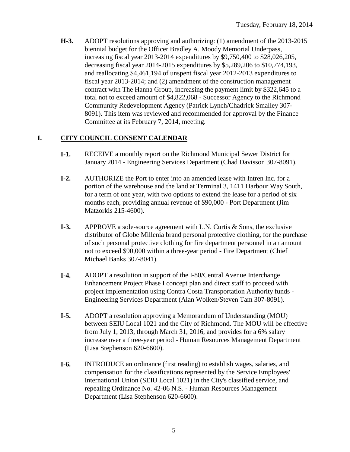**H-3.** ADOPT resolutions approving and authorizing: (1) amendment of the 2013-2015 biennial budget for the Officer Bradley A. Moody Memorial Underpass, increasing fiscal year 2013-2014 expenditures by \$9,750,400 to \$28,026,205, decreasing fiscal year 2014-2015 expenditures by \$5,289,206 to \$10,774,193, and reallocating \$4,461,194 of unspent fiscal year 2012-2013 expenditures to fiscal year 2013-2014; and (2) amendment of the construction management contract with The Hanna Group, increasing the payment limit by \$322,645 to a total not to exceed amount of \$4,822,068 - Successor Agency to the Richmond Community Redevelopment Agency (Patrick Lynch/Chadrick Smalley 307- 8091). This item was reviewed and recommended for approval by the Finance Committee at its February 7, 2014, meeting.

### **I. CITY COUNCIL CONSENT CALENDAR**

- **I-1.** RECEIVE a monthly report on the Richmond Municipal Sewer District for January 2014 - Engineering Services Department (Chad Davisson 307-8091).
- **I-2.** AUTHORIZE the Port to enter into an amended lease with Intren Inc. for a portion of the warehouse and the land at Terminal 3, 1411 Harbour Way South, for a term of one year, with two options to extend the lease for a period of six months each, providing annual revenue of \$90,000 - Port Department (Jim Matzorkis 215-4600).
- **I-3.** APPROVE a sole-source agreement with L.N. Curtis & Sons, the exclusive distributor of Globe Millenia brand personal protective clothing, for the purchase of such personal protective clothing for fire department personnel in an amount not to exceed \$90,000 within a three-year period - Fire Department (Chief Michael Banks 307-8041).
- **I-4.** ADOPT a resolution in support of the I-80/Central Avenue Interchange Enhancement Project Phase I concept plan and direct staff to proceed with project implementation using Contra Costa Transportation Authority funds - Engineering Services Department (Alan Wolken/Steven Tam 307-8091).
- **I-5.** ADOPT a resolution approving a Memorandum of Understanding (MOU) between SEIU Local 1021 and the City of Richmond. The MOU will be effective from July 1, 2013, through March 31, 2016, and provides for a 6% salary increase over a three-year period - Human Resources Management Department (Lisa Stephenson 620-6600).
- **I-6.** INTRODUCE an ordinance (first reading) to establish wages, salaries, and compensation for the classifications represented by the Service Employees' International Union (SEIU Local 1021) in the City's classified service, and repealing Ordinance No. 42-06 N.S. - Human Resources Management Department (Lisa Stephenson 620-6600).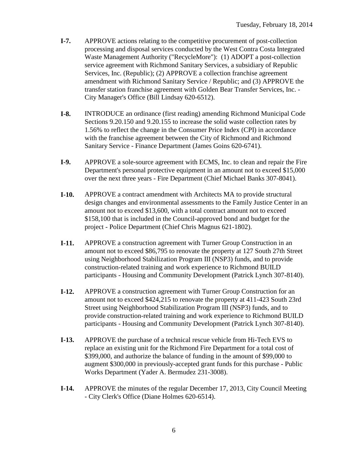- **I-7.** APPROVE actions relating to the competitive procurement of post-collection processing and disposal services conducted by the West Contra Costa Integrated Waste Management Authority ("RecycleMore"): (1) ADOPT a post-collection service agreement with Richmond Sanitary Services, a subsidiary of Republic Services, Inc. (Republic); (2) APPROVE a collection franchise agreement amendment with Richmond Sanitary Service / Republic; and (3) APPROVE the transfer station franchise agreement with Golden Bear Transfer Services, Inc. - City Manager's Office (Bill Lindsay 620-6512).
- **I-8.** INTRODUCE an ordinance (first reading) amending Richmond Municipal Code Sections 9.20.150 and 9.20.155 to increase the solid waste collection rates by 1.56% to reflect the change in the Consumer Price Index (CPI) in accordance with the franchise agreement between the City of Richmond and Richmond Sanitary Service - Finance Department (James Goins 620-6741).
- **I-9.** APPROVE a sole-source agreement with ECMS, Inc. to clean and repair the Fire Department's personal protective equipment in an amount not to exceed \$15,000 over the next three years - Fire Department (Chief Michael Banks 307-8041).
- **I-10.** APPROVE a contract amendment with Architects MA to provide structural design changes and environmental assessments to the Family Justice Center in an amount not to exceed \$13,600, with a total contract amount not to exceed \$158,100 that is included in the Council-approved bond and budget for the project - Police Department (Chief Chris Magnus 621-1802).
- **I-11.** APPROVE a construction agreement with Turner Group Construction in an amount not to exceed \$86,795 to renovate the property at 127 South 27th Street using Neighborhood Stabilization Program III (NSP3) funds, and to provide construction-related training and work experience to Richmond BUILD participants - Housing and Community Development (Patrick Lynch 307-8140).
- **I-12.** APPROVE a construction agreement with Turner Group Construction for an amount not to exceed \$424,215 to renovate the property at 411-423 South 23rd Street using Neighborhood Stabilization Program III (NSP3) funds, and to provide construction-related training and work experience to Richmond BUILD participants - Housing and Community Development (Patrick Lynch 307-8140).
- **I-13.** APPROVE the purchase of a technical rescue vehicle from Hi-Tech EVS to replace an existing unit for the Richmond Fire Department for a total cost of \$399,000, and authorize the balance of funding in the amount of \$99,000 to augment \$300,000 in previously-accepted grant funds for this purchase - Public Works Department (Yader A. Bermudez 231-3008).
- **I-14.** APPROVE the minutes of the regular December 17, 2013, City Council Meeting - City Clerk's Office (Diane Holmes 620-6514).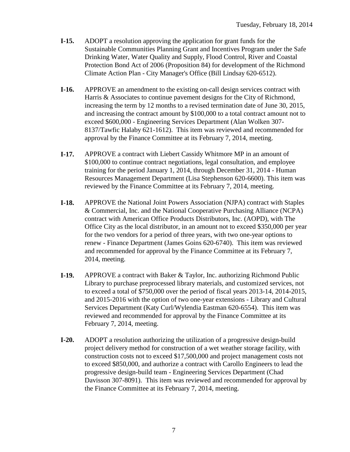- **I-15.** ADOPT a resolution approving the application for grant funds for the Sustainable Communities Planning Grant and Incentives Program under the Safe Drinking Water, Water Quality and Supply, Flood Control, River and Coastal Protection Bond Act of 2006 (Proposition 84) for development of the Richmond Climate Action Plan - City Manager's Office (Bill Lindsay 620-6512).
- **I-16.** APPROVE an amendment to the existing on-call design services contract with Harris & Associates to continue pavement designs for the City of Richmond, increasing the term by 12 months to a revised termination date of June 30, 2015, and increasing the contract amount by \$100,000 to a total contract amount not to exceed \$600,000 - Engineering Services Department (Alan Wolken 307- 8137/Tawfic Halaby 621-1612). This item was reviewed and recommended for approval by the Finance Committee at its February 7, 2014, meeting.
- **I-17.** APPROVE a contract with Liebert Cassidy Whitmore MP in an amount of \$100,000 to continue contract negotiations, legal consultation, and employee training for the period January 1, 2014, through December 31, 2014 - Human Resources Management Department (Lisa Stephenson 620-6600). This item was reviewed by the Finance Committee at its February 7, 2014, meeting.
- **I-18.** APPROVE the National Joint Powers Association (NJPA) contract with Staples & Commercial, Inc. and the National Cooperative Purchasing Alliance (NCPA) contract with American Office Products Distributors, Inc. (AOPD), with The Office City as the local distributor, in an amount not to exceed \$350,000 per year for the two vendors for a period of three years, with two one-year options to renew - Finance Department (James Goins 620-6740). This item was reviewed and recommended for approval by the Finance Committee at its February 7, 2014, meeting.
- **I-19.** APPROVE a contract with Baker & Taylor, Inc. authorizing Richmond Public Library to purchase preprocessed library materials, and customized services, not to exceed a total of \$750,000 over the period of fiscal years 2013-14, 2014-2015, and 2015-2016 with the option of two one-year extensions - Library and Cultural Services Department (Katy Curl/Wylendia Eastman 620-6554). This item was reviewed and recommended for approval by the Finance Committee at its February 7, 2014, meeting.
- **I-20.** ADOPT a resolution authorizing the utilization of a progressive design-build project delivery method for construction of a wet weather storage facility, with construction costs not to exceed \$17,500,000 and project management costs not to exceed \$850,000, and authorize a contract with Carollo Engineers to lead the progressive design-build team - Engineering Services Department (Chad Davisson 307-8091). This item was reviewed and recommended for approval by the Finance Committee at its February 7, 2014, meeting.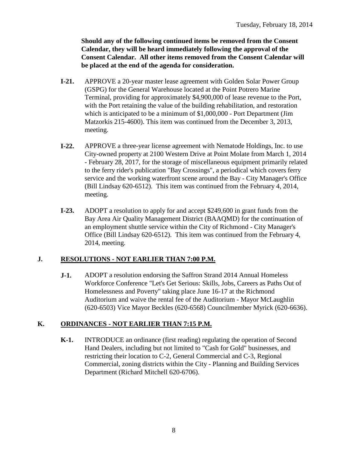**Should any of the following continued items be removed from the Consent Calendar, they will be heard immediately following the approval of the Consent Calendar. All other items removed from the Consent Calendar will be placed at the end of the agenda for consideration.**

- **I-21.** APPROVE a 20-year master lease agreement with Golden Solar Power Group (GSPG) for the General Warehouse located at the Point Potrero Marine Terminal, providing for approximately \$4,900,000 of lease revenue to the Port, with the Port retaining the value of the building rehabilitation, and restoration which is anticipated to be a minimum of \$1,000,000 - Port Department (Jim Matzorkis 215-4600). This item was continued from the December 3, 2013, meeting.
- **I-22.** APPROVE a three-year license agreement with Nematode Holdings, Inc. to use City-owned property at 2100 Western Drive at Point Molate from March 1, 2014 - February 28, 2017, for the storage of miscellaneous equipment primarily related to the ferry rider's publication "Bay Crossings", a periodical which covers ferry service and the working waterfront scene around the Bay - City Manager's Office (Bill Lindsay 620-6512). This item was continued from the February 4, 2014, meeting.
- **I-23.** ADOPT a resolution to apply for and accept \$249,600 in grant funds from the Bay Area Air Quality Management District (BAAQMD) for the continuation of an employment shuttle service within the City of Richmond - City Manager's Office (Bill Lindsay 620-6512). This item was continued from the February 4, 2014, meeting.

### **J. RESOLUTIONS - NOT EARLIER THAN 7:00 P.M.**

**J-1.** ADOPT a resolution endorsing the Saffron Strand 2014 Annual Homeless Workforce Conference "Let's Get Serious: Skills, Jobs, Careers as Paths Out of Homelessness and Poverty" taking place June 16-17 at the Richmond Auditorium and waive the rental fee of the Auditorium - Mayor McLaughlin (620-6503) Vice Mayor Beckles (620-6568) Councilmember Myrick (620-6636).

### **K. ORDINANCES - NOT EARLIER THAN 7:15 P.M.**

**K-1.** INTRODUCE an ordinance (first reading) regulating the operation of Second Hand Dealers, including but not limited to "Cash for Gold" businesses, and restricting their location to C-2, General Commercial and C-3, Regional Commercial, zoning districts within the City - Planning and Building Services Department (Richard Mitchell 620-6706).